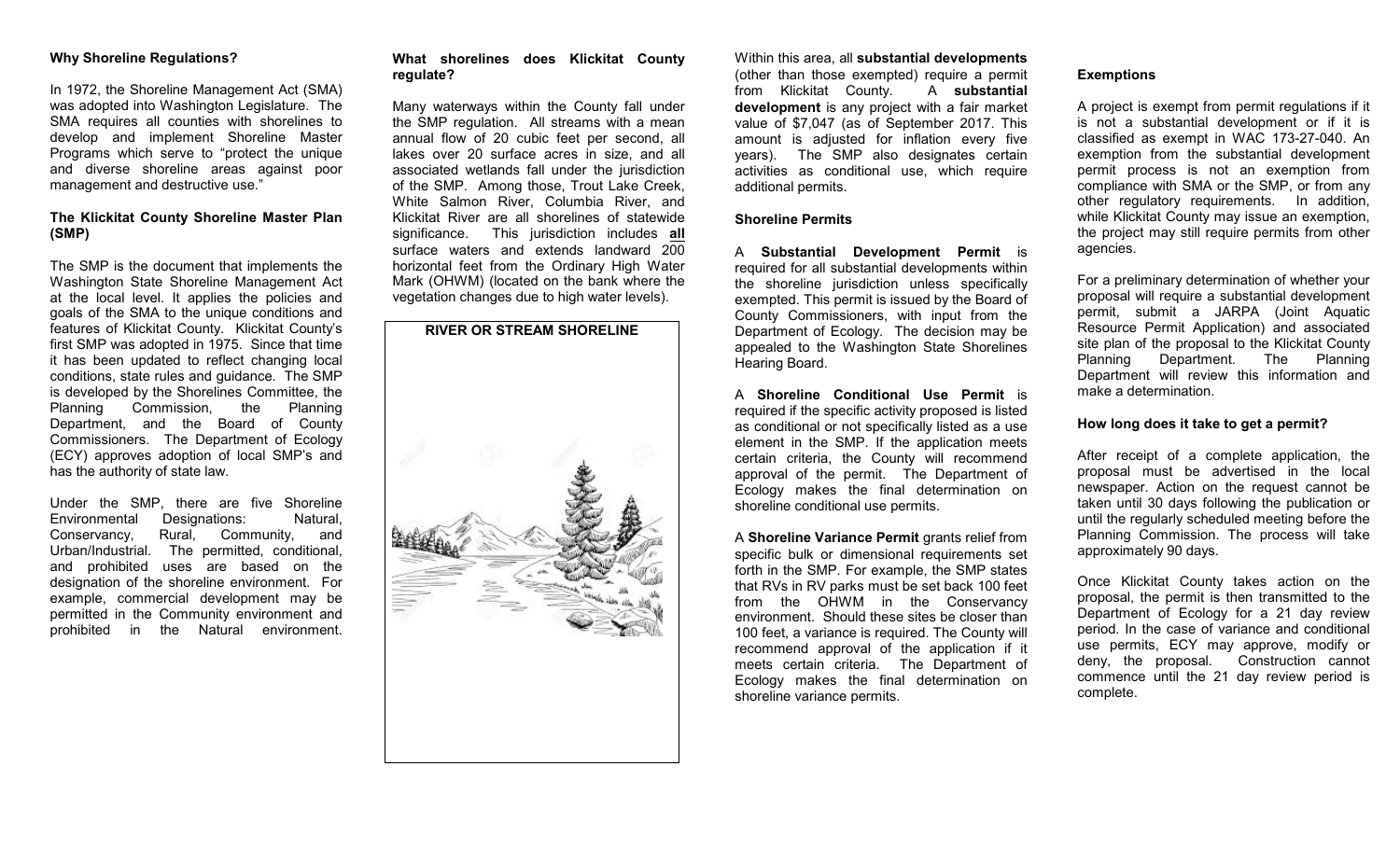# **Why Shoreline Regulations?**

In 1972, the Shoreline Management Act (SMA) was adopted into Washington Legislature. The SMA requires all counties with shorelines to develop and implement Shoreline Master Programs which serve to "protect the unique and diverse shoreline areas against poor management and destructive use."

# **The Klickitat County Shoreline Master Plan (SMP)**

The SMP is the document that implements the Washington State Shoreline Management Act at the local level. It applies the policies and goals of the SMA to the unique conditions and features of Klickitat County. Klickitat County's first SMP was adopted in 1975. Since that time it has been updated to reflect changing local conditions, state rules and guidance. The SMP is developed by the Shorelines Committee, the Planning Commission, the Planning Department, and the Board of County Commissioners. The Department of Ecology (ECY) approves adoption of local SMP's and has the authority of state law.

Under the SMP, there are five Shoreline Environmental Designations: Natural, Conservancy, Rural, Community, and Urban/Industrial. The permitted, conditional, and prohibited uses are based on the designation of the shoreline environment. For example, commercial development may be permitted in the Community environment and prohibited in the Natural environment.

# **What shorelines does Klickitat County regulate?**

Many waterways within the County fall under the SMP regulation. All streams with a mean annual flow of 20 cubic feet per second, all lakes over 20 surface acres in size, and all associated wetlands fall under the jurisdiction of the SMP. Among those, Trout Lake Creek, White Salmon River, Columbia River, and Klickitat River are all shorelines of statewide significance. This jurisdiction includes **all** surface waters and extends landward 200 horizontal feet from the Ordinary High Water Mark (OHWM) (located on the bank where the vegetation changes due to high water levels).



# Within this area, all **substantial developments** (other than those exempted) require a permit from Klickitat County. A **substantial development** is any project with a fair market value of \$7,047 (as of September 2017. This amount is adjusted for inflation every five years). The SMP also designates certain activities as conditional use, which require additional permits.

#### **Shoreline Permits**

A **Substantial Development Permit** is required for all substantial developments within the shoreline jurisdiction unless specifically exempted. This permit is issued by the Board of County Commissioners, with input from the Department of Ecology. The decision may be appealed to the Washington State Shorelines Hearing Board.

A **Shoreline Conditional Use Permit** is required if the specific activity proposed is listed as conditional or not specifically listed as a use element in the SMP. If the application meets certain criteria, the County will recommend approval of the permit. The Department of Ecology makes the final determination on shoreline conditional use permits.

A **Shoreline Variance Permit** grants relief from specific bulk or dimensional requirements set forth in the SMP. For example, the SMP states that RVs in RV parks must be set back 100 feet from the OHWM in the Conservancy environment. Should these sites be closer than 100 feet, a variance is required. The County will recommend approval of the application if it meets certain criteria. The Department of Ecology makes the final determination on shoreline variance permits.

#### **Exemptions**

A project is exempt from permit regulations if it is not a substantial development or if it is classified as exempt in WAC 173-27-040. An exemption from the substantial development permit process is not an exemption from compliance with SMA or the SMP, or from any other regulatory requirements. In addition, while Klickitat County may issue an exemption, the project may still require permits from other agencies.

For a preliminary determination of whether your proposal will require a substantial development permit, submit a JARPA (Joint Aquatic Resource Permit Application) and associated site plan of the proposal to the Klickitat County Planning Department. The Planning Department will review this information and make a determination.

# **How long does it take to get a permit?**

After receipt of a complete application, the proposal must be advertised in the local newspaper. Action on the request cannot be taken until 30 days following the publication or until the regularly scheduled meeting before the Planning Commission. The process will take approximately 90 days.

Once Klickitat County takes action on the proposal, the permit is then transmitted to the Department of Ecology for a 21 day review period. In the case of variance and conditional use permits, ECY may approve, modify or deny, the proposal. Construction cannot commence until the 21 day review period is complete.